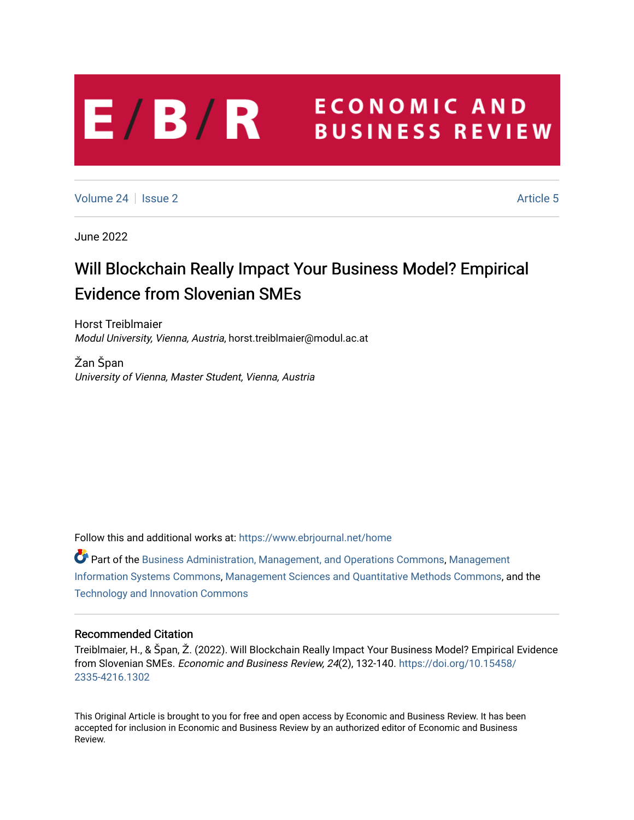## **ECONOMIC AND**  $E/B/R$ **BUSINESS REVIEW**

[Volume 24](https://www.ebrjournal.net/home/vol24) | [Issue 2](https://www.ebrjournal.net/home/vol24/iss2) Article 5

June 2022

## Will Blockchain Really Impact Your Business Model? Empirical Evidence from Slovenian SMEs

Horst Treiblmaier Modul University, Vienna, Austria, horst.treiblmaier@modul.ac.at

Žan Špan University of Vienna, Master Student, Vienna, Austria

Follow this and additional works at: [https://www.ebrjournal.net/home](https://www.ebrjournal.net/home?utm_source=www.ebrjournal.net%2Fhome%2Fvol24%2Fiss2%2F5&utm_medium=PDF&utm_campaign=PDFCoverPages) 

 $\bullet$  Part of the [Business Administration, Management, and Operations Commons](https://network.bepress.com/hgg/discipline/623?utm_source=www.ebrjournal.net%2Fhome%2Fvol24%2Fiss2%2F5&utm_medium=PDF&utm_campaign=PDFCoverPages), Management [Information Systems Commons](https://network.bepress.com/hgg/discipline/636?utm_source=www.ebrjournal.net%2Fhome%2Fvol24%2Fiss2%2F5&utm_medium=PDF&utm_campaign=PDFCoverPages), [Management Sciences and Quantitative Methods Commons,](https://network.bepress.com/hgg/discipline/637?utm_source=www.ebrjournal.net%2Fhome%2Fvol24%2Fiss2%2F5&utm_medium=PDF&utm_campaign=PDFCoverPages) and the [Technology and Innovation Commons](https://network.bepress.com/hgg/discipline/644?utm_source=www.ebrjournal.net%2Fhome%2Fvol24%2Fiss2%2F5&utm_medium=PDF&utm_campaign=PDFCoverPages) 

## Recommended Citation

Treiblmaier, H., & Špan, Ž. (2022). Will Blockchain Really Impact Your Business Model? Empirical Evidence from Slovenian SMEs. Economic and Business Review, 24(2), 132-140. [https://doi.org/10.15458/](https://doi.org/10.15458/2335-4216.1302) [2335-4216.1302](https://doi.org/10.15458/2335-4216.1302) 

This Original Article is brought to you for free and open access by Economic and Business Review. It has been accepted for inclusion in Economic and Business Review by an authorized editor of Economic and Business Review.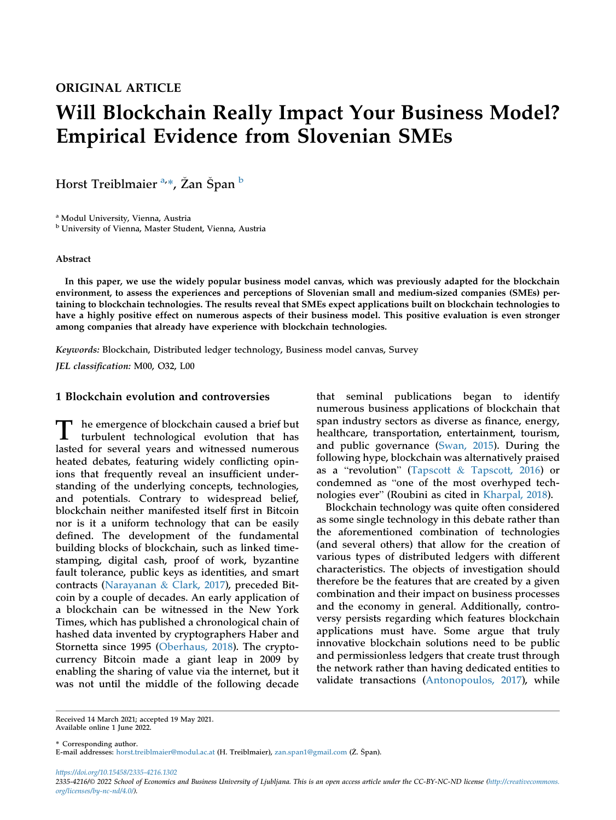# ORIGINAL ARTICLE Will Blockchain Really Impact Your Business Model? Empirical Evidence from Slovenian SMEs

Horst Treiblmaier <sup>[a,](#page-1-0)</sup>\*, Žan Špan <sup>[b](#page-1-1)</sup>

<span id="page-1-0"></span><sup>a</sup> Modul University, Vienna, Austria

<span id="page-1-1"></span><sup>b</sup> University of Vienna, Master Student, Vienna, Austria

#### Abstract

In this paper, we use the widely popular business model canvas, which was previously adapted for the blockchain environment, to assess the experiences and perceptions of Slovenian small and medium-sized companies (SMEs) pertaining to blockchain technologies. The results reveal that SMEs expect applications built on blockchain technologies to have a highly positive effect on numerous aspects of their business model. This positive evaluation is even stronger among companies that already have experience with blockchain technologies.

Keywords: Blockchain, Distributed ledger technology, Business model canvas, Survey

JEL classification: M00, O32, L00

### 1 Blockchain evolution and controversies

The emergence of blockchain caused a brief but turbulent technological evolution that has lasted for several years and witnessed numerous heated debates, featuring widely conflicting opinions that frequently reveal an insufficient understanding of the underlying concepts, technologies, and potentials. Contrary to widespread belief, blockchain neither manifested itself first in Bitcoin nor is it a uniform technology that can be easily defined. The development of the fundamental building blocks of blockchain, such as linked timestamping, digital cash, proof of work, byzantine fault tolerance, public keys as identities, and smart contracts [\(Narayanan](#page-9-0) & [Clark, 2017\)](#page-9-0), preceded Bitcoin by a couple of decades. An early application of a blockchain can be witnessed in the New York Times, which has published a chronological chain of hashed data invented by cryptographers Haber and Stornetta since 1995 ([Oberhaus, 2018](#page-9-1)). The cryptocurrency Bitcoin made a giant leap in 2009 by enabling the sharing of value via the internet, but it was not until the middle of the following decade

that seminal publications began to identify numerous business applications of blockchain that span industry sectors as diverse as finance, energy, healthcare, transportation, entertainment, tourism, and public governance [\(Swan, 2015](#page-9-2)). During the following hype, blockchain was alternatively praised as a "revolution" ([Tapscott](#page-9-3) & [Tapscott, 2016\)](#page-9-3) or condemned as "one of the most overhyped technologies ever" (Roubini as cited in [Kharpal, 2018](#page-9-4)).

Blockchain technology was quite often considered as some single technology in this debate rather than the aforementioned combination of technologies (and several others) that allow for the creation of various types of distributed ledgers with different characteristics. The objects of investigation should therefore be the features that are created by a given combination and their impact on business processes and the economy in general. Additionally, controversy persists regarding which features blockchain applications must have. Some argue that truly innovative blockchain solutions need to be public and permissionless ledgers that create trust through the network rather than having dedicated entities to validate transactions ([Antonopoulos, 2017\)](#page-9-5), while

Received 14 March 2021; accepted 19 May 2021. Available online 1 June 2022.

\* Corresponding author. E-mail addresses: [horst.treiblmaier@modul.ac.at](mailto:horst.treiblmaier@modul.ac.at) (H. Treiblmaier), [zan.span1@gmail.com](mailto:zan.span1@gmail.com) (Z. Span).

https://doi.org/10.15458/2335-4216.1302 2335-4216/© 2022 School of Economics and Business University of Ljubljana. This is an open access article under the CC-BY-NC-ND license [\(http://creativecommons.](http://creativecommons.org/licenses/by-nc-nd/4.0/) [org/licenses/by-nc-nd/4.0/](http://creativecommons.org/licenses/by-nc-nd/4.0/)).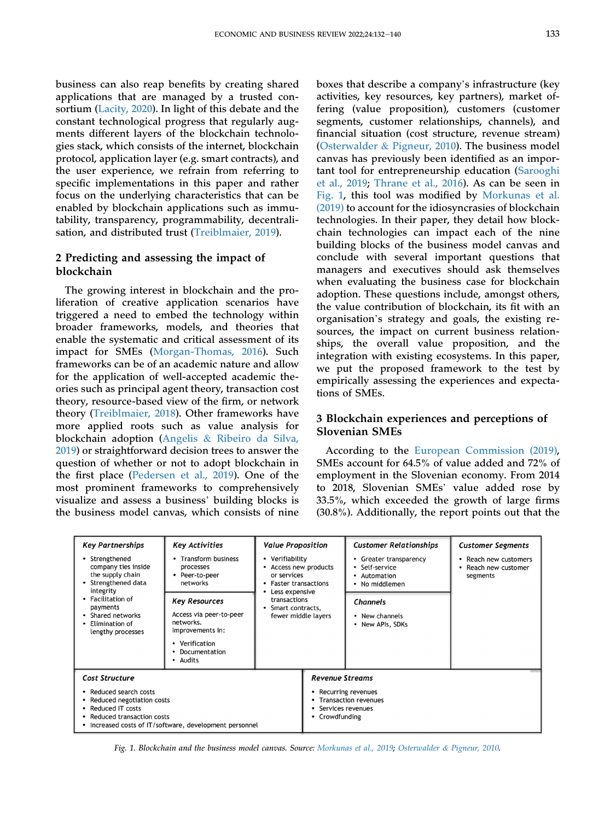business can also reap benefits by creating shared applications that are managed by a trusted consortium ([Lacity, 2020](#page-9-6)). In light of this debate and the constant technological progress that regularly augments different layers of the blockchain technologies stack, which consists of the internet, blockchain protocol, application layer (e.g. smart contracts), and the user experience, we refrain from referring to specific implementations in this paper and rather focus on the underlying characteristics that can be enabled by blockchain applications such as immutability, transparency, programmability, decentralisation, and distributed trust ([Treiblmaier, 2019\)](#page-9-7).

## 2 Predicting and assessing the impact of blockchain

The growing interest in blockchain and the proliferation of creative application scenarios have triggered a need to embed the technology within broader frameworks, models, and theories that enable the systematic and critical assessment of its impact for SMEs [\(Morgan-Thomas, 2016\)](#page-9-8). Such frameworks can be of an academic nature and allow for the application of well-accepted academic theories such as principal agent theory, transaction cost theory, resource-based view of the firm, or network theory [\(Treiblmaier, 2018\)](#page-9-9). Other frameworks have more applied roots such as value analysis for blockchain adoption [\(Angelis](#page-9-10) & [Ribeiro da Silva,](#page-9-10) [2019\)](#page-9-10) or straightforward decision trees to answer the question of whether or not to adopt blockchain in the first place ([Pedersen et al., 2019\)](#page-9-11). One of the most prominent frameworks to comprehensively visualize and assess a business' building blocks is the business model canvas, which consists of nine

boxes that describe a company's infrastructure (key activities, key resources, key partners), market offering (value proposition), customers (customer segments, customer relationships, channels), and financial situation (cost structure, revenue stream) [\(Osterwalder](#page-9-12) & [Pigneur, 2010](#page-9-12)). The business model canvas has previously been identified as an important tool for entrepreneurship education ([Sarooghi](#page-9-13) [et al., 2019](#page-9-13); [Thrane et al., 2016\)](#page-9-14). As can be seen in [Fig. 1](#page-2-0), this tool was modified by [Morkunas et al.](#page-9-15) [\(2019\)](#page-9-15) to account for the idiosyncrasies of blockchain technologies. In their paper, they detail how blockchain technologies can impact each of the nine building blocks of the business model canvas and conclude with several important questions that managers and executives should ask themselves when evaluating the business case for blockchain adoption. These questions include, amongst others, the value contribution of blockchain, its fit with an organisation's strategy and goals, the existing resources, the impact on current business relationships, the overall value proposition, and the integration with existing ecosystems. In this paper, we put the proposed framework to the test by empirically assessing the experiences and expectations of SMEs.

## 3 Blockchain experiences and perceptions of Slovenian SMEs

According to the [European Commission \(2019\),](#page-9-16) SMEs account for 64.5% of value added and 72% of employment in the Slovenian economy. From 2014 to 2018, Slovenian SMEs' value added rose by 33.5%, which exceeded the growth of large firms (30.8%). Additionally, the report points out that the

<span id="page-2-0"></span>

| <b>Key Partnerships</b><br>• Strengthened<br>company ties inside<br>the supply chain<br>Strengthened data<br>integrity<br>• Facilitation of<br>payments<br>• Shared networks<br>Elimination of<br>lengthy processes | Key Activities<br><b>Transform business</b><br>processes<br>Peer-to-peer<br>networks<br><b>Key Resources</b><br>Access via peer-to-peer<br>networks.<br>Improvements in:<br>Verification<br>Documentation<br>• Audits | <b>Value Proposition</b><br>• Verifiability<br>Access new products<br>or services<br>• Faster transactions<br>Less expensive<br>transactions<br>Smart contracts,<br>fewer middle layers |                                                                                         | <b>Customer Relationships</b><br>• Greater transparency<br>• Self-service<br>• Automation<br>• No middlemen<br>Channels<br>• New channels<br>• New APIs, SDKs | <b>Customer Segments</b><br>Reach new customers<br>Reach new customer<br>segments |
|---------------------------------------------------------------------------------------------------------------------------------------------------------------------------------------------------------------------|-----------------------------------------------------------------------------------------------------------------------------------------------------------------------------------------------------------------------|-----------------------------------------------------------------------------------------------------------------------------------------------------------------------------------------|-----------------------------------------------------------------------------------------|---------------------------------------------------------------------------------------------------------------------------------------------------------------|-----------------------------------------------------------------------------------|
| <b>Cost Structure</b><br>• Reduced search costs<br>Reduced negotiation costs<br>• Reduced IT costs<br>• Reduced transaction costs                                                                                   | • Increased costs of IT/software, development personnel                                                                                                                                                               |                                                                                                                                                                                         | <b>Revenue Streams</b><br>• Recurring revenues<br>• Services revenues<br>• Crowdfunding | • Transaction revenues                                                                                                                                        |                                                                                   |

Fig. 1. Blockchain and the business model canvas. Source: [Morkunas et al., 2019;](#page-9-15) [Osterwalder](#page-9-12) & [Pigneur, 2010.](#page-9-12)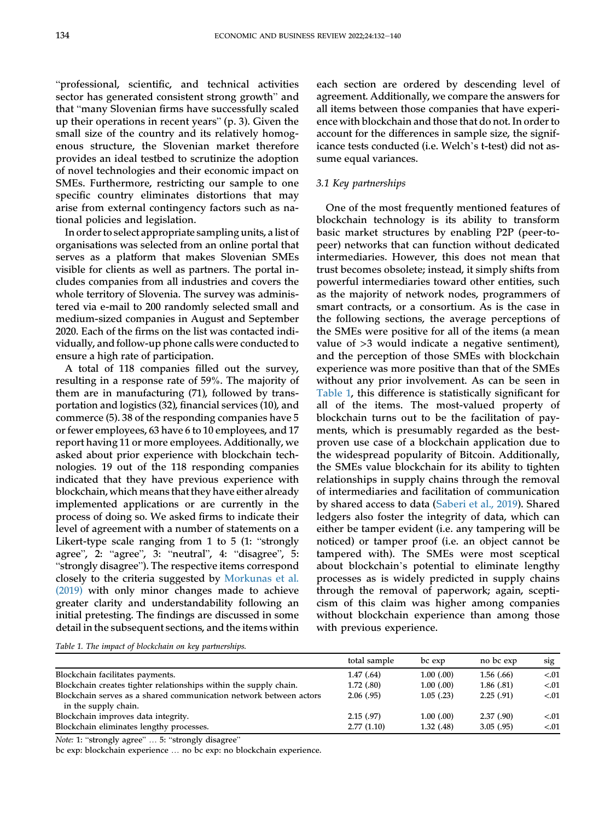"professional, scientific, and technical activities sector has generated consistent strong growth" and that "many Slovenian firms have successfully scaled up their operations in recent years" (p. 3). Given the small size of the country and its relatively homogenous structure, the Slovenian market therefore provides an ideal testbed to scrutinize the adoption of novel technologies and their economic impact on SMEs. Furthermore, restricting our sample to one specific country eliminates distortions that may arise from external contingency factors such as national policies and legislation.

In order to select appropriate sampling units, a list of organisations was selected from an online portal that serves as a platform that makes Slovenian SMEs visible for clients as well as partners. The portal includes companies from all industries and covers the whole territory of Slovenia. The survey was administered via e-mail to 200 randomly selected small and medium-sized companies in August and September 2020. Each of the firms on the list was contacted individually, and follow-up phone calls were conducted to ensure a high rate of participation.

A total of 118 companies filled out the survey, resulting in a response rate of 59%. The majority of them are in manufacturing (71), followed by transportation and logistics (32), financial services (10), and commerce (5). 38 of the responding companies have 5 or fewer employees, 63 have 6 to 10 employees, and 17 report having 11 or more employees. Additionally, we asked about prior experience with blockchain technologies. 19 out of the 118 responding companies indicated that they have previous experience with blockchain, which means that they have either already implemented applications or are currently in the process of doing so. We asked firms to indicate their level of agreement with a number of statements on a Likert-type scale ranging from 1 to 5 (1: "strongly agree", 2: "agree", 3: "neutral", 4: "disagree", 5: "strongly disagree"). The respective items correspond closely to the criteria suggested by [Morkunas et al.](#page-9-15) [\(2019\)](#page-9-15) with only minor changes made to achieve greater clarity and understandability following an initial pretesting. The findings are discussed in some detail in the subsequent sections, and the items within

each section are ordered by descending level of agreement. Additionally, we compare the answers for all items between those companies that have experience with blockchain and those that do not. In order to account for the differences in sample size, the significance tests conducted (i.e. Welch's t-test) did not assume equal variances.

#### 3.1 Key partnerships

One of the most frequently mentioned features of blockchain technology is its ability to transform basic market structures by enabling P2P (peer-topeer) networks that can function without dedicated intermediaries. However, this does not mean that trust becomes obsolete; instead, it simply shifts from powerful intermediaries toward other entities, such as the majority of network nodes, programmers of smart contracts, or a consortium. As is the case in the following sections, the average perceptions of the SMEs were positive for all of the items (a mean value of >3 would indicate a negative sentiment), and the perception of those SMEs with blockchain experience was more positive than that of the SMEs without any prior involvement. As can be seen in [Table 1,](#page-3-0) this difference is statistically significant for all of the items. The most-valued property of blockchain turns out to be the facilitation of payments, which is presumably regarded as the bestproven use case of a blockchain application due to the widespread popularity of Bitcoin. Additionally, the SMEs value blockchain for its ability to tighten relationships in supply chains through the removal of intermediaries and facilitation of communication by shared access to data ([Saberi et al., 2019\)](#page-9-17). Shared ledgers also foster the integrity of data, which can either be tamper evident (i.e. any tampering will be noticed) or tamper proof (i.e. an object cannot be tampered with). The SMEs were most sceptical about blockchain's potential to eliminate lengthy processes as is widely predicted in supply chains through the removal of paperwork; again, scepticism of this claim was higher among companies without blockchain experience than among those with previous experience.

<span id="page-3-0"></span>Table 1. The impact of blockchain on key partnerships.

|                                                                                            | total sample | bc exp         | no bc exp  | sıg    |
|--------------------------------------------------------------------------------------------|--------------|----------------|------------|--------|
| Blockchain facilitates payments.                                                           | 1.47(0.64)   | $1.00$ $(.00)$ | 1.56(0.66) | $-.01$ |
| Blockchain creates tighter relationships within the supply chain.                          | 1.72(0.80)   | $1.00$ $(.00)$ | 1.86(.81)  | $-.01$ |
| Blockchain serves as a shared communication network between actors<br>in the supply chain. | 2.06(0.95)   | $1.05$ $(.23)$ | 2.25(.91)  | $-.01$ |
| Blockchain improves data integrity.                                                        | 2.15(0.97)   | 1.00(0.00)     | 2.37(0.90) | $-.01$ |
| Blockchain eliminates lengthy processes.                                                   | 2.77(1.10)   | 1.32(0.48)     | 3.05(.95)  | < 0.01 |

Note: 1: "strongly agree" … 5: "strongly disagree"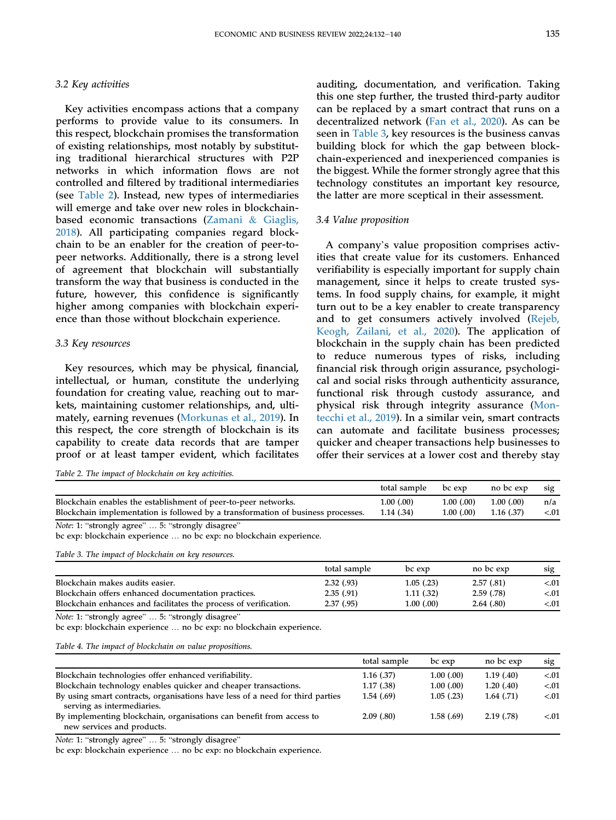#### 3.2 Key activities

Key activities encompass actions that a company performs to provide value to its consumers. In this respect, blockchain promises the transformation of existing relationships, most notably by substituting traditional hierarchical structures with P2P networks in which information flows are not controlled and filtered by traditional intermediaries (see [Table 2\)](#page-4-0). Instead, new types of intermediaries will emerge and take over new roles in blockchainbased economic transactions ([Zamani](#page-9-18) & [Giaglis,](#page-9-18) [2018\)](#page-9-18). All participating companies regard blockchain to be an enabler for the creation of peer-topeer networks. Additionally, there is a strong level of agreement that blockchain will substantially transform the way that business is conducted in the future, however, this confidence is significantly higher among companies with blockchain experience than those without blockchain experience.

#### 3.3 Key resources

Key resources, which may be physical, financial, intellectual, or human, constitute the underlying foundation for creating value, reaching out to markets, maintaining customer relationships, and, ultimately, earning revenues ([Morkunas et al., 2019\)](#page-9-15). In this respect, the core strength of blockchain is its capability to create data records that are tamper proof or at least tamper evident, which facilitates

auditing, documentation, and verification. Taking this one step further, the trusted third-party auditor can be replaced by a smart contract that runs on a decentralized network [\(Fan et al., 2020\)](#page-9-19). As can be seen in [Table 3,](#page-4-1) key resources is the business canvas building block for which the gap between blockchain-experienced and inexperienced companies is the biggest. While the former strongly agree that this technology constitutes an important key resource, the latter are more sceptical in their assessment.

#### 3.4 Value proposition

A company's value proposition comprises activities that create value for its customers. Enhanced verifiability is especially important for supply chain management, since it helps to create trusted systems. In food supply chains, for example, it might turn out to be a key enabler to create transparency and to get consumers actively involved [\(Rejeb,](#page-9-20) [Keogh, Zailani, et al., 2020](#page-9-20)). The application of blockchain in the supply chain has been predicted to reduce numerous types of risks, including financial risk through origin assurance, psychological and social risks through authenticity assurance, functional risk through custody assurance, and physical risk through integrity assurance [\(Mon](#page-9-21)[tecchi et al., 2019](#page-9-21)). In a similar vein, smart contracts can automate and facilitate business processes; quicker and cheaper transactions help businesses to offer their services at a lower cost and thereby stay

<span id="page-4-0"></span>Table 2. The impact of blockchain on key activities.

|                                                                                  | total sample bc exp |            | no bc exp  | S1g    |
|----------------------------------------------------------------------------------|---------------------|------------|------------|--------|
| Blockchain enables the establishment of peer-to-peer networks.                   | 1.00(0.00)          | 1.00(0.00) | 1.00(0.00) | n/a    |
| Blockchain implementation is followed by a transformation of business processes. | 1.14(0.34)          | 1.00(0.00) | 1.16(0.37) | $-.01$ |
|                                                                                  |                     |            |            |        |

Note: 1: "strongly agree" … 5: "strongly disagree"

bc exp: blockchain experience … no bc exp: no blockchain experience.

<span id="page-4-1"></span>Table 3. The impact of blockchain on key resources.

|                                                                  | total sample | bc exp     | no bc exp  | sıg    |
|------------------------------------------------------------------|--------------|------------|------------|--------|
| Blockchain makes audits easier.                                  | 2.32(0.93)   | 1.05(0.23) | 2.57(0.81) | < 01   |
| Blockchain offers enhanced documentation practices.              | 2.35(.91)    | 1.11(0.32) | 2.59(0.78) | < 01   |
| Blockchain enhances and facilitates the process of verification. | 2.37(0.95)   | 1.00(0.00) | 2.64(0.80) | < 0.01 |

Note: 1: "strongly agree" … 5: "strongly disagree"

bc exp: blockchain experience … no bc exp: no blockchain experience.

#### <span id="page-4-2"></span>Table 4. The impact of blockchain on value propositions.

|                                                                                                             | total sample | bc exp     | no bc exp  | sıg    |
|-------------------------------------------------------------------------------------------------------------|--------------|------------|------------|--------|
| Blockchain technologies offer enhanced verifiability.                                                       | 1.16(0.37)   | 1.00(0.00) | 1.19(0.40) | $-.01$ |
| Blockchain technology enables quicker and cheaper transactions.                                             | 1.17(0.38)   | 1.00(0.00) | 1.20(0.40) | $-.01$ |
| By using smart contracts, organisations have less of a need for third parties<br>serving as intermediaries. | 1.54(0.69)   | 1.05(0.23) | 1.64(0.71) | $-.01$ |
| By implementing blockchain, organisations can benefit from access to<br>new services and products.          | 2.09(.80)    | 1.58(0.69) | 2.19(0.78) | $-.01$ |

Note: 1: "strongly agree" … 5: "strongly disagree"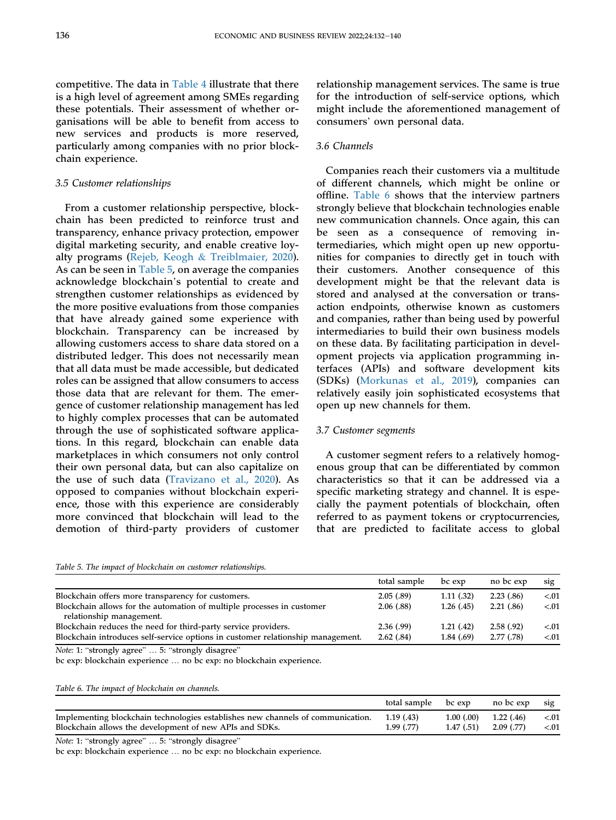competitive. The data in [Table 4](#page-4-2) illustrate that there is a high level of agreement among SMEs regarding these potentials. Their assessment of whether organisations will be able to benefit from access to new services and products is more reserved, particularly among companies with no prior blockchain experience.

#### 3.5 Customer relationships

From a customer relationship perspective, blockchain has been predicted to reinforce trust and transparency, enhance privacy protection, empower digital marketing security, and enable creative loyalty programs ([Rejeb, Keogh](#page-9-22) & [Treiblmaier, 2020](#page-9-22)). As can be seen in [Table 5,](#page-5-0) on average the companies acknowledge blockchain's potential to create and strengthen customer relationships as evidenced by the more positive evaluations from those companies that have already gained some experience with blockchain. Transparency can be increased by allowing customers access to share data stored on a distributed ledger. This does not necessarily mean that all data must be made accessible, but dedicated roles can be assigned that allow consumers to access those data that are relevant for them. The emergence of customer relationship management has led to highly complex processes that can be automated through the use of sophisticated software applications. In this regard, blockchain can enable data marketplaces in which consumers not only control their own personal data, but can also capitalize on the use of such data [\(Travizano et al., 2020](#page-9-23)). As opposed to companies without blockchain experience, those with this experience are considerably more convinced that blockchain will lead to the demotion of third-party providers of customer

<span id="page-5-0"></span>

relationship management services. The same is true for the introduction of self-service options, which might include the aforementioned management of consumers' own personal data.

### 3.6 Channels

Companies reach their customers via a multitude of different channels, which might be online or offline. [Table 6](#page-5-1) shows that the interview partners strongly believe that blockchain technologies enable new communication channels. Once again, this can be seen as a consequence of removing intermediaries, which might open up new opportunities for companies to directly get in touch with their customers. Another consequence of this development might be that the relevant data is stored and analysed at the conversation or transaction endpoints, otherwise known as customers and companies, rather than being used by powerful intermediaries to build their own business models on these data. By facilitating participation in development projects via application programming interfaces (APIs) and software development kits (SDKs) [\(Morkunas et al., 2019](#page-9-15)), companies can relatively easily join sophisticated ecosystems that open up new channels for them.

#### 3.7 Customer segments

A customer segment refers to a relatively homogenous group that can be differentiated by common characteristics so that it can be addressed via a specific marketing strategy and channel. It is especially the payment potentials of blockchain, often referred to as payment tokens or cryptocurrencies, that are predicted to facilitate access to global

|                                                                                                                                                   | total sample           | bc exp                 | no bc exp                | sig              |
|---------------------------------------------------------------------------------------------------------------------------------------------------|------------------------|------------------------|--------------------------|------------------|
| Blockchain offers more transparency for customers.                                                                                                | 2.05(.89)              | 1.11(.32)              | 2.23(0.86)               | $-.01$           |
| Blockchain allows for the automation of multiple processes in customer<br>relationship management.                                                | 2.06(.88)              | 1.26(0.45)             | 2.21(.86)                | < 0.01           |
| Blockchain reduces the need for third-party service providers.<br>Blockchain introduces self-service options in customer relationship management. | 2.36(.99)<br>2.62(.84) | 1.21(42)<br>1.84(0.69) | 2.58(0.92)<br>2.77(0.78) | $-.01$<br>< 0.01 |

Note: 1: "strongly agree" … 5: "strongly disagree"

bc exp: blockchain experience … no bc exp: no blockchain experience.

<span id="page-5-1"></span>

|  |  | Table 6. The impact of blockchain on channels. |  |  |  |  |  |
|--|--|------------------------------------------------|--|--|--|--|--|
|--|--|------------------------------------------------|--|--|--|--|--|

|                                                                                 | total sample bc exp no bc exp sig |                           |                                    |        |
|---------------------------------------------------------------------------------|-----------------------------------|---------------------------|------------------------------------|--------|
| Implementing blockchain technologies establishes new channels of communication. | 1.19(0.43)                        |                           | $1.00(.00)$ $1.22(.46)$ $\leq .01$ |        |
| Blockchain allows the development of new APIs and SDKs.                         | 1.99(0.77)                        | $1.47(0.51)$ $2.09(0.77)$ |                                    | < 0.01 |

Note: 1: "strongly agree" … 5: "strongly disagree"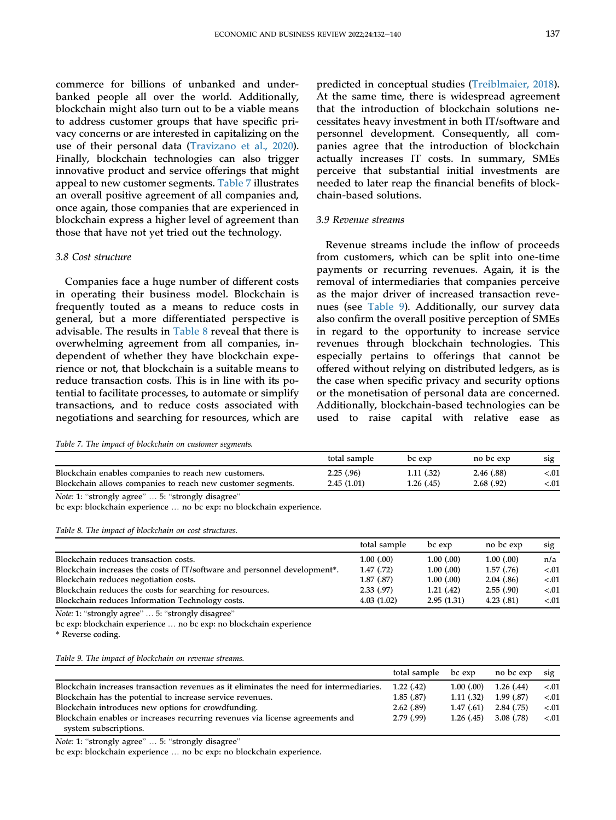commerce for billions of unbanked and underbanked people all over the world. Additionally, blockchain might also turn out to be a viable means to address customer groups that have specific privacy concerns or are interested in capitalizing on the use of their personal data ([Travizano et al., 2020](#page-9-23)). Finally, blockchain technologies can also trigger innovative product and service offerings that might appeal to new customer segments. [Table 7](#page-6-0) illustrates an overall positive agreement of all companies and, once again, those companies that are experienced in blockchain express a higher level of agreement than those that have not yet tried out the technology.

#### 3.8 Cost structure

Companies face a huge number of different costs in operating their business model. Blockchain is frequently touted as a means to reduce costs in general, but a more differentiated perspective is advisable. The results in [Table 8](#page-6-1) reveal that there is overwhelming agreement from all companies, independent of whether they have blockchain experience or not, that blockchain is a suitable means to reduce transaction costs. This is in line with its potential to facilitate processes, to automate or simplify transactions, and to reduce costs associated with negotiations and searching for resources, which are

predicted in conceptual studies [\(Treiblmaier, 2018\)](#page-9-9). At the same time, there is widespread agreement that the introduction of blockchain solutions necessitates heavy investment in both IT/software and personnel development. Consequently, all companies agree that the introduction of blockchain actually increases IT costs. In summary, SMEs perceive that substantial initial investments are needed to later reap the financial benefits of blockchain-based solutions.

#### 3.9 Revenue streams

Revenue streams include the inflow of proceeds from customers, which can be split into one-time payments or recurring revenues. Again, it is the removal of intermediaries that companies perceive as the major driver of increased transaction revenues (see [Table 9](#page-6-2)). Additionally, our survey data also confirm the overall positive perception of SMEs in regard to the opportunity to increase service revenues through blockchain technologies. This especially pertains to offerings that cannot be offered without relying on distributed ledgers, as is the case when specific privacy and security options or the monetisation of personal data are concerned. Additionally, blockchain-based technologies can be used to raise capital with relative ease as

<span id="page-6-0"></span>Table 7. The impact of blockchain on customer segments.

|                                                             | total sample | bc exp     | no bc exp  | 51g    |
|-------------------------------------------------------------|--------------|------------|------------|--------|
| Blockchain enables companies to reach new customers.        | 2.25(.96)    | 1.11(.32)  | 2.46(.88)  | < 01   |
| Blockchain allows companies to reach new customer segments. | 2.45(1.01)   | 1.26(0.45) | 2.68(0.92) | < 0.01 |
|                                                             |              |            |            |        |

Note: 1: "strongly agree" … 5: "strongly disagree"

bc exp: blockchain experience … no bc exp: no blockchain experience.

<span id="page-6-1"></span>

|  |  |  |  | Table 8. The impact of blockchain on cost structures. |  |  |  |
|--|--|--|--|-------------------------------------------------------|--|--|--|
|--|--|--|--|-------------------------------------------------------|--|--|--|

|                                                                           | total sample | bc exp     | no bc exp  | sig    |
|---------------------------------------------------------------------------|--------------|------------|------------|--------|
| Blockchain reduces transaction costs.                                     | 1.00(0.00)   | 1.00(0.00) | 1.00(0.00) | n/a    |
| Blockchain increases the costs of IT/software and personnel development*. | 1.47(0.72)   | 1.00(0.00) | 1.57(0.76) | < 0.01 |
| Blockchain reduces negotiation costs.                                     | 1.87(0.87)   | 1.00(0.00) | 2.04(0.86) | < 0.01 |
| Blockchain reduces the costs for searching for resources.                 | 2.33(.97)    | 1.21(0.42) | 2.55(.90)  | < 0.01 |
| Blockchain reduces Information Technology costs.                          | 4.03(1.02)   | 2.95(1.31) | 4.23(.81)  | < 0.01 |

Note: 1: "strongly agree" … 5: "strongly disagree"

bc exp: blockchain experience … no bc exp: no blockchain experience

\* Reverse coding.

<span id="page-6-2"></span>Table 9. The impact of blockchain on revenue streams.

|                                                                                         | total sample bc exp |            | no bc exp  | S1g    |
|-----------------------------------------------------------------------------------------|---------------------|------------|------------|--------|
| Blockchain increases transaction revenues as it eliminates the need for intermediaries. | 1.22(0.42)          | 1.00(0.00) | 1.26(0.44) | $-.01$ |
| Blockchain has the potential to increase service revenues.                              | 1.85(0.87)          | 1.11(0.32) | 1.99(0.87) | $-.01$ |
| Blockchain introduces new options for crowdfunding.                                     | 2.62(.89)           | 1.47(0.61) | 2.84(0.75) | $-.01$ |
| Blockchain enables or increases recurring revenues via license agreements and           | 2.79(99)            | 1.26(0.45) | 3.08 (.78) | $-.01$ |
| system subscriptions.                                                                   |                     |            |            |        |

Note: 1: "strongly agree" … 5: "strongly disagree"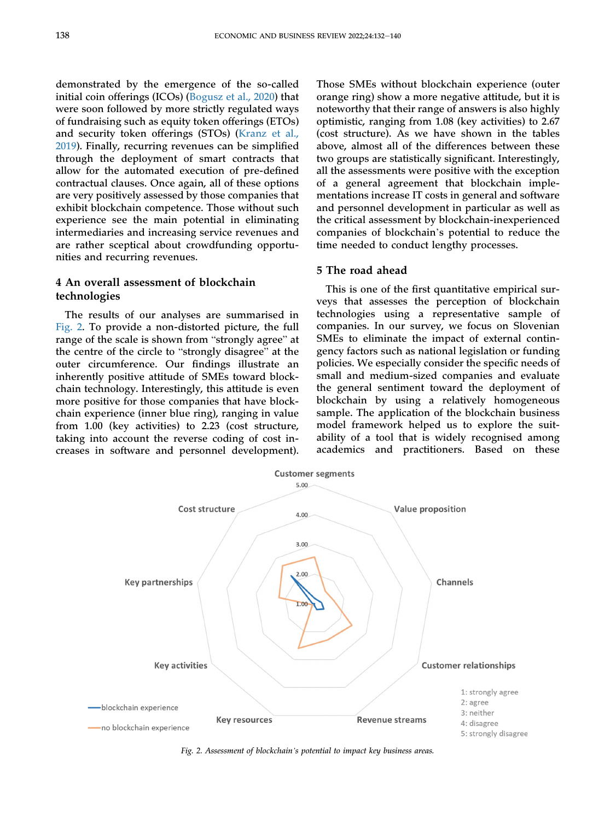demonstrated by the emergence of the so-called initial coin offerings (ICOs) [\(Bogusz et al., 2020](#page-9-24)) that were soon followed by more strictly regulated ways of fundraising such as equity token offerings (ETOs) and security token offerings (STOs) ([Kranz et al.,](#page-9-25) [2019\)](#page-9-25). Finally, recurring revenues can be simplified through the deployment of smart contracts that allow for the automated execution of pre-defined contractual clauses. Once again, all of these options are very positively assessed by those companies that exhibit blockchain competence. Those without such experience see the main potential in eliminating intermediaries and increasing service revenues and are rather sceptical about crowdfunding opportunities and recurring revenues.

## 4 An overall assessment of blockchain technologies

The results of our analyses are summarised in [Fig. 2](#page-7-0). To provide a non-distorted picture, the full range of the scale is shown from "strongly agree" at the centre of the circle to "strongly disagree" at the outer circumference. Our findings illustrate an inherently positive attitude of SMEs toward blockchain technology. Interestingly, this attitude is even more positive for those companies that have blockchain experience (inner blue ring), ranging in value from 1.00 (key activities) to 2.23 (cost structure, taking into account the reverse coding of cost increases in software and personnel development).

Those SMEs without blockchain experience (outer orange ring) show a more negative attitude, but it is noteworthy that their range of answers is also highly optimistic, ranging from 1.08 (key activities) to 2.67 (cost structure). As we have shown in the tables above, almost all of the differences between these two groups are statistically significant. Interestingly, all the assessments were positive with the exception of a general agreement that blockchain implementations increase IT costs in general and software and personnel development in particular as well as the critical assessment by blockchain-inexperienced companies of blockchain's potential to reduce the time needed to conduct lengthy processes.

#### 5 The road ahead

This is one of the first quantitative empirical surveys that assesses the perception of blockchain technologies using a representative sample of companies. In our survey, we focus on Slovenian SMEs to eliminate the impact of external contingency factors such as national legislation or funding policies. We especially consider the specific needs of small and medium-sized companies and evaluate the general sentiment toward the deployment of blockchain by using a relatively homogeneous sample. The application of the blockchain business model framework helped us to explore the suitability of a tool that is widely recognised among academics and practitioners. Based on these

<span id="page-7-0"></span>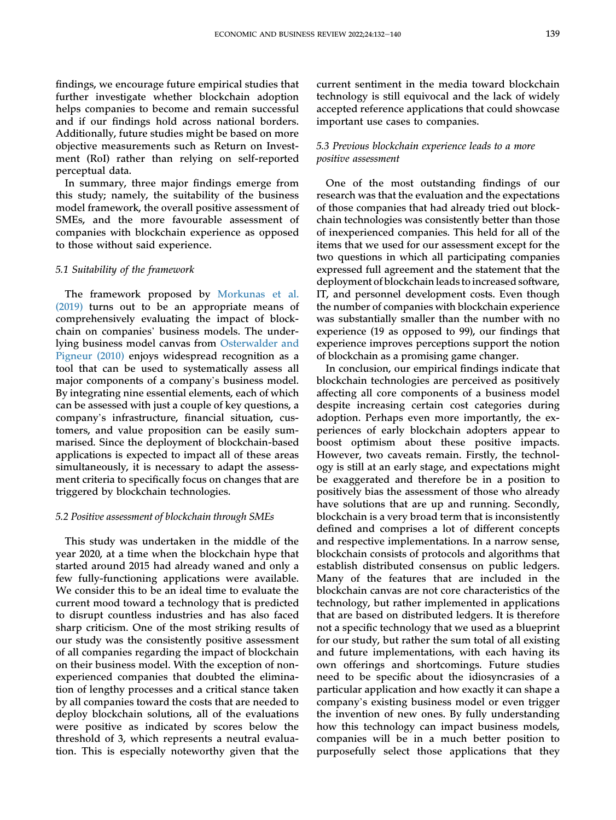findings, we encourage future empirical studies that further investigate whether blockchain adoption helps companies to become and remain successful and if our findings hold across national borders. Additionally, future studies might be based on more objective measurements such as Return on Investment (RoI) rather than relying on self-reported perceptual data.

In summary, three major findings emerge from this study; namely, the suitability of the business model framework, the overall positive assessment of SMEs, and the more favourable assessment of companies with blockchain experience as opposed to those without said experience.

#### 5.1 Suitability of the framework

The framework proposed by [Morkunas et al.](#page-9-15) [\(2019\)](#page-9-15) turns out to be an appropriate means of comprehensively evaluating the impact of blockchain on companies' business models. The underlying business model canvas from [Osterwalder and](#page-9-12) [Pigneur \(2010\)](#page-9-12) enjoys widespread recognition as a tool that can be used to systematically assess all major components of a company's business model. By integrating nine essential elements, each of which can be assessed with just a couple of key questions, a company's infrastructure, financial situation, customers, and value proposition can be easily summarised. Since the deployment of blockchain-based applications is expected to impact all of these areas simultaneously, it is necessary to adapt the assessment criteria to specifically focus on changes that are triggered by blockchain technologies.

#### 5.2 Positive assessment of blockchain through SMEs

This study was undertaken in the middle of the year 2020, at a time when the blockchain hype that started around 2015 had already waned and only a few fully-functioning applications were available. We consider this to be an ideal time to evaluate the current mood toward a technology that is predicted to disrupt countless industries and has also faced sharp criticism. One of the most striking results of our study was the consistently positive assessment of all companies regarding the impact of blockchain on their business model. With the exception of nonexperienced companies that doubted the elimination of lengthy processes and a critical stance taken by all companies toward the costs that are needed to deploy blockchain solutions, all of the evaluations were positive as indicated by scores below the threshold of 3, which represents a neutral evaluation. This is especially noteworthy given that the

current sentiment in the media toward blockchain technology is still equivocal and the lack of widely accepted reference applications that could showcase important use cases to companies.

#### 5.3 Previous blockchain experience leads to a more positive assessment

One of the most outstanding findings of our research was that the evaluation and the expectations of those companies that had already tried out blockchain technologies was consistently better than those of inexperienced companies. This held for all of the items that we used for our assessment except for the two questions in which all participating companies expressed full agreement and the statement that the deployment of blockchain leads to increased software, IT, and personnel development costs. Even though the number of companies with blockchain experience was substantially smaller than the number with no experience (19 as opposed to 99), our findings that experience improves perceptions support the notion of blockchain as a promising game changer.

In conclusion, our empirical findings indicate that blockchain technologies are perceived as positively affecting all core components of a business model despite increasing certain cost categories during adoption. Perhaps even more importantly, the experiences of early blockchain adopters appear to boost optimism about these positive impacts. However, two caveats remain. Firstly, the technology is still at an early stage, and expectations might be exaggerated and therefore be in a position to positively bias the assessment of those who already have solutions that are up and running. Secondly, blockchain is a very broad term that is inconsistently defined and comprises a lot of different concepts and respective implementations. In a narrow sense, blockchain consists of protocols and algorithms that establish distributed consensus on public ledgers. Many of the features that are included in the blockchain canvas are not core characteristics of the technology, but rather implemented in applications that are based on distributed ledgers. It is therefore not a specific technology that we used as a blueprint for our study, but rather the sum total of all existing and future implementations, with each having its own offerings and shortcomings. Future studies need to be specific about the idiosyncrasies of a particular application and how exactly it can shape a company's existing business model or even trigger the invention of new ones. By fully understanding how this technology can impact business models, companies will be in a much better position to purposefully select those applications that they